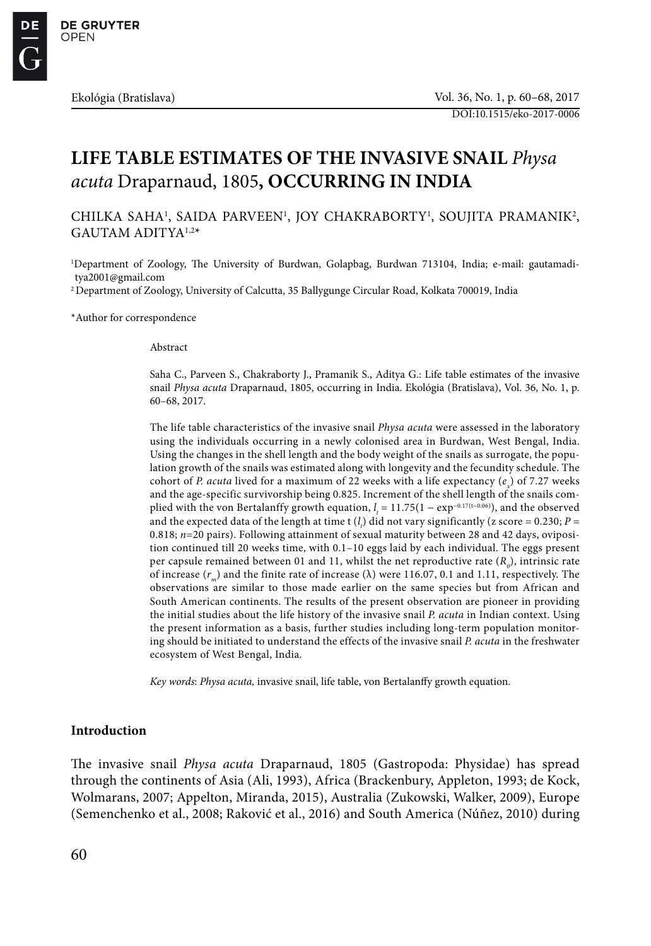# **LIFE TABLE ESTIMATES OF THE INVASIVE SNAIL** *Physa acuta* Draparnaud, 1805**, OCCURRING IN INDIA**

CHILKA SAHA<sup>1</sup>, SAIDA PARVEEN<sup>1</sup>, JOY CHAKRABORTY<sup>1</sup>, SOUJITA PRAMANIK<sup>2</sup>, GAUTAM ADITYA1,2\*

1 Department of Zoology, The University of Burdwan, Golapbag, Burdwan 713104, India; e-mail: gautamaditya2001@gmail.com

2 Department of Zoology, University of Calcutta, 35 Ballygunge Circular Road, Kolkata 700019, India

\*Author for correspondence

Abstract

Saha C., Parveen S., Chakraborty J., Pramanik S., Aditya G.: Life table estimates of the invasive snail *Physa acuta* Draparnaud, 1805, occurring in India. Ekológia (Bratislava), Vol. 36, No. 1, p. 60–68, 2017.

The life table characteristics of the invasive snail *Physa acuta* were assessed in the laboratory using the individuals occurring in a newly colonised area in Burdwan, West Bengal, India. Using the changes in the shell length and the body weight of the snails as surrogate, the population growth of the snails was estimated along with longevity and the fecundity schedule. The cohort of *P. acuta* lived for a maximum of 22 weeks with a life expectancy (e<sub>x</sub>) of 7.27 weeks and the age-specific survivorship being 0.825. Increment of the shell length of the snails complied with the von Bertalanffy growth equation, *l*<sub>*t*</sub> = 11.75(1 − exp<sup>−0.17(t−0.06)</sup>), and the observed and the expected data of the length at time t  $(l_i)$  did not vary significantly (z score = 0.230;  $P =$ 0.818; *n*=20 pairs). Following attainment of sexual maturity between 28 and 42 days, oviposition continued till 20 weeks time, with 0.1–10 eggs laid by each individual. The eggs present per capsule remained between 01 and 11, whilst the net reproductive rate  $(R_o)$ , intrinsic rate of increase (*rm*) and the finite rate of increase (λ) were 116.07, 0.1 and 1.11, respectively. The observations are similar to those made earlier on the same species but from African and South American continents. The results of the present observation are pioneer in providing the initial studies about the life history of the invasive snail *P. acuta* in Indian context. Using the present information as a basis, further studies including long-term population monitoring should be initiated to understand the effects of the invasive snail *P. acuta* in the freshwater ecosystem of West Bengal, India.

*Key words*: *Physa acuta,* invasive snail, life table, von Bertalanffy growth equation.

### **Introduction**

The invasive snail *Physa acuta* Draparnaud, 1805 (Gastropoda: Physidae) has spread through the continents of Asia (Ali, 1993), Africa (Brackenbury, Appleton, 1993; de Kock, Wolmarans, 2007; Appelton, Miranda, 2015), Australia (Zukowski, Walker, 2009), Europe (Semenchenko et al., 2008; Raković et al., 2016) and South America (Núñez, 2010) during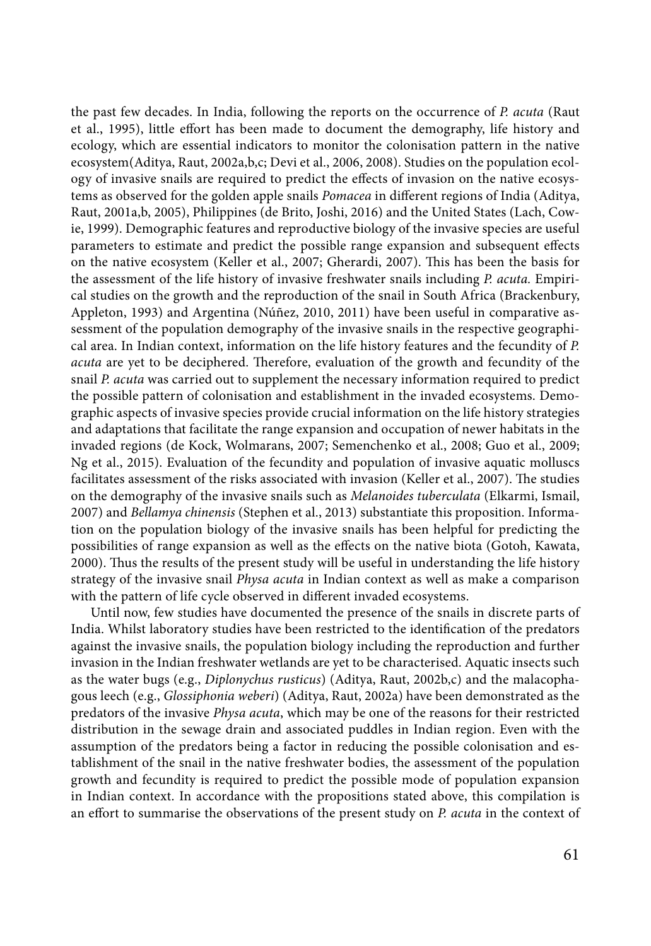the past few decades. In India, following the reports on the occurrence of *P. acuta* (Raut et al., 1995), little effort has been made to document the demography, life history and ecology, which are essential indicators to monitor the colonisation pattern in the native ecosystem(Aditya, Raut, 2002a,b,c; Devi et al., 2006, 2008). Studies on the population ecology of invasive snails are required to predict the effects of invasion on the native ecosystems as observed for the golden apple snails *Pomacea* in different regions of India (Aditya, Raut, 2001a,b, 2005), Philippines (de Brito, Joshi, 2016) and the United States (Lach, Cowie, 1999). Demographic features and reproductive biology of the invasive species are useful parameters to estimate and predict the possible range expansion and subsequent effects on the native ecosystem (Keller et al., 2007; Gherardi, 2007). This has been the basis for the assessment of the life history of invasive freshwater snails including *P. acuta.* Empirical studies on the growth and the reproduction of the snail in South Africa (Brackenbury, Appleton, 1993) and Argentina (Núñez, 2010, 2011) have been useful in comparative assessment of the population demography of the invasive snails in the respective geographical area. In Indian context, information on the life history features and the fecundity of *P. acuta* are yet to be deciphered. Therefore, evaluation of the growth and fecundity of the snail *P. acuta* was carried out to supplement the necessary information required to predict the possible pattern of colonisation and establishment in the invaded ecosystems. Demographic aspects of invasive species provide crucial information on the life history strategies and adaptations that facilitate the range expansion and occupation of newer habitats in the invaded regions (de Kock, Wolmarans, 2007; Semenchenko et al., 2008; Guo et al., 2009; Ng et al., 2015). Evaluation of the fecundity and population of invasive aquatic molluscs facilitates assessment of the risks associated with invasion (Keller et al., 2007). The studies on the demography of the invasive snails such as *Melanoides tuberculata* (Elkarmi, Ismail, 2007) and *Bellamya chinensis* (Stephen et al., 2013) substantiate this proposition. Information on the population biology of the invasive snails has been helpful for predicting the possibilities of range expansion as well as the effects on the native biota (Gotoh, Kawata, 2000). Thus the results of the present study will be useful in understanding the life history strategy of the invasive snail *Physa acuta* in Indian context as well as make a comparison with the pattern of life cycle observed in different invaded ecosystems.

Until now, few studies have documented the presence of the snails in discrete parts of India. Whilst laboratory studies have been restricted to the identification of the predators against the invasive snails, the population biology including the reproduction and further invasion in the Indian freshwater wetlands are yet to be characterised. Aquatic insects such as the water bugs (e.g., *Diplonychus rusticus*) (Aditya, Raut, 2002b,c) and the malacophagous leech (e.g., *Glossiphonia weberi*) (Aditya, Raut, 2002a) have been demonstrated as the predators of the invasive *Physa acuta*, which may be one of the reasons for their restricted distribution in the sewage drain and associated puddles in Indian region. Even with the assumption of the predators being a factor in reducing the possible colonisation and establishment of the snail in the native freshwater bodies, the assessment of the population growth and fecundity is required to predict the possible mode of population expansion in Indian context. In accordance with the propositions stated above, this compilation is an effort to summarise the observations of the present study on *P. acuta* in the context of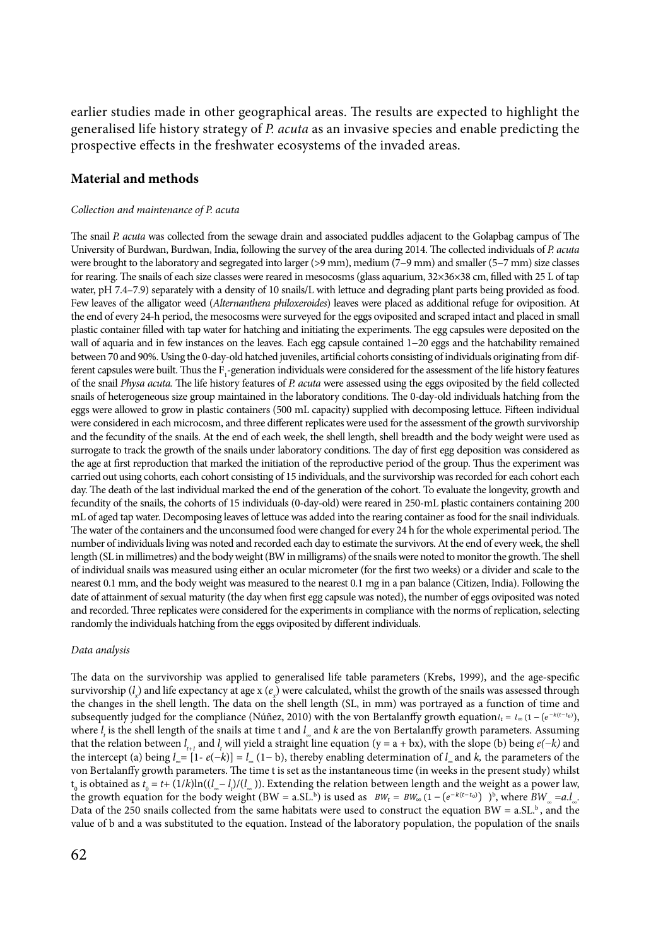earlier studies made in other geographical areas. The results are expected to highlight the generalised life history strategy of *P. acuta* as an invasive species and enable predicting the prospective effects in the freshwater ecosystems of the invaded areas.

# **Material and methods**

#### *Collection and maintenance of P. acuta*

The snail *P. acuta* was collected from the sewage drain and associated puddles adjacent to the Golapbag campus of The University of Burdwan, Burdwan, India, following the survey of the area during 2014. The collected individuals of *P. acuta*  were brought to the laboratory and segregated into larger (>9 mm), medium (7−9 mm) and smaller (5−7 mm) size classes for rearing. The snails of each size classes were reared in mesocosms (glass aquarium, 32×36×38 cm, filled with 25 L of tap water, pH 7.4–7.9) separately with a density of 10 snails/L with lettuce and degrading plant parts being provided as food. Few leaves of the alligator weed (*Alternanthera philoxeroides*) leaves were placed as additional refuge for oviposition. At the end of every 24-h period, the mesocosms were surveyed for the eggs oviposited and scraped intact and placed in small plastic container filled with tap water for hatching and initiating the experiments. The egg capsules were deposited on the wall of aquaria and in few instances on the leaves. Each egg capsule contained 1−20 eggs and the hatchability remained between 70 and 90%. Using the 0-day-old hatched juveniles, artificial cohorts consisting of individuals originating from different capsules were built. Thus the  $F_1$  generation individuals were considered for the assessment of the life history features of the snail *Physa acuta.* The life history features of *P. acuta* were assessed using the eggs oviposited by the field collected snails of heterogeneous size group maintained in the laboratory conditions. The 0-day-old individuals hatching from the eggs were allowed to grow in plastic containers (500 mL capacity) supplied with decomposing lettuce. Fifteen individual were considered in each microcosm, and three different replicates were used for the assessment of the growth survivorship and the fecundity of the snails. At the end of each week, the shell length, shell breadth and the body weight were used as surrogate to track the growth of the snails under laboratory conditions. The day of first egg deposition was considered as the age at first reproduction that marked the initiation of the reproductive period of the group. Thus the experiment was carried out using cohorts, each cohort consisting of 15 individuals, and the survivorship was recorded for each cohort each day. The death of the last individual marked the end of the generation of the cohort. To evaluate the longevity, growth and fecundity of the snails, the cohorts of 15 individuals (0-day-old) were reared in 250-mL plastic containers containing 200 mL of aged tap water. Decomposing leaves of lettuce was added into the rearing container as food for the snail individuals. The water of the containers and the unconsumed food were changed for every 24 h for the whole experimental period. The number of individuals living was noted and recorded each day to estimate the survivors. At the end of every week, the shell length (SL in millimetres) and the body weight (BW in milligrams) of the snails were noted to monitor the growth. The shell of individual snails was measured using either an ocular micrometer (for the first two weeks) or a divider and scale to the nearest 0.1 mm, and the body weight was measured to the nearest 0.1 mg in a pan balance (Citizen, India). Following the date of attainment of sexual maturity (the day when first egg capsule was noted), the number of eggs oviposited was noted and recorded. Three replicates were considered for the experiments in compliance with the norms of replication, selecting randomly the individuals hatching from the eggs oviposited by different individuals.

#### *Data analysis*

The data on the survivorship was applied to generalised life table parameters (Krebs, 1999), and the age-specific survivorship ( $l_x$ ) and life expectancy at age x ( $e_x$ ) were calculated, whilst the growth of the snails was assessed through the changes in the shell length. The data on the shell length (SL, in mm) was portrayed as a function of time and subsequently judged for the compliance (Núñez, 2010) with the von Bertalanffy growth equation  $l_t = l_\infty (1 - (e^{-k(t-t_0)}),$ where *l<sub>t</sub>* is the shell length of the snails at time t and *l*<sub>∞</sub> and *k* are the von Bertalanffy growth parameters. Assuming that the relation between  $l_{t+1}$  and  $l_t$  will yield a straight line equation (y = a + bx), with the slope (b) being  $e(-k)$  and the intercept (a) being *l <sup>∞</sup>*= [1- *e*(*−k*)] = *l∞* (1*−* b), thereby enabling determination of *l <sup>∞</sup>*and *k,* the parameters of the von Bertalanffy growth parameters. The time t is set as the instantaneous time (in weeks in the present study) whilst *t*<sub>0</sub> is obtained as *t*<sub>0</sub> = *t*+ (1/*k*)ln((*l*<sub>∞</sub>−*l*,)/(*l*<sub>∞</sub>)). Extending the relation between length and the weight as a power law, the growth equation for the body weight (BW = a.SL.<sup>b</sup>) is used as  $BW_t = BW_\infty (1 - (e^{-k(t-t_0)}))$ <sup>b</sup>, where  $BW_\infty = a.I_\infty$ . Data of the 250 snails collected from the same habitats were used to construct the equation  $BW = a.S.L$ <sup>b</sup>, and the value of b and a was substituted to the equation. Instead of the laboratory population, the population of the snails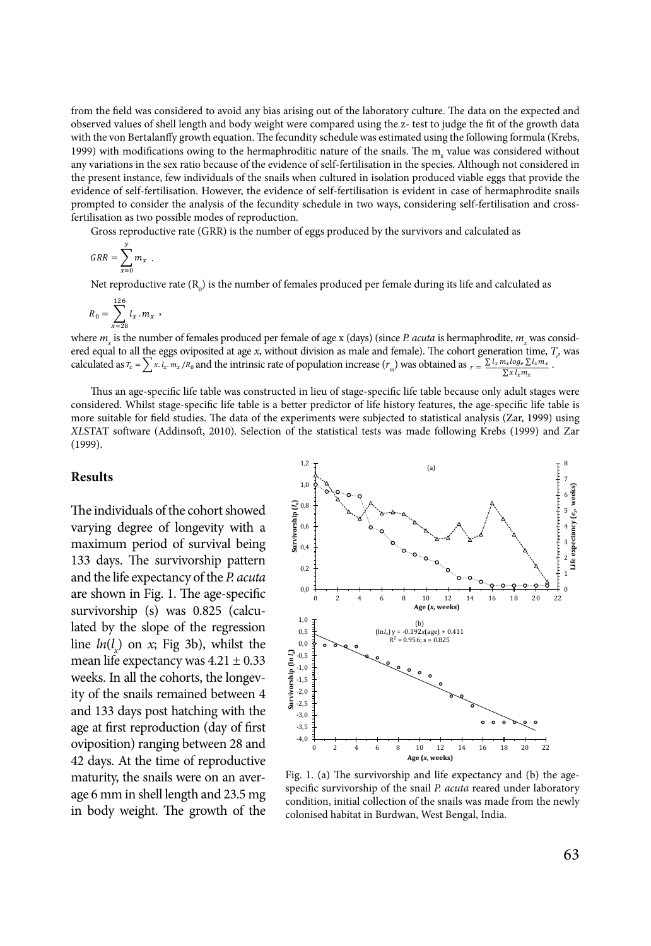from the field was considered to avoid any bias arising out of the laboratory culture. The data on the expected and observed values of shell length and body weight were compared using the z- test to judge the fit of the growth data with the von Bertalanffy growth equation. The fecundity schedule was estimated using the following formula (Krebs, 1999) with modifications owing to the hermaphroditic nature of the snails. The  $m_x$  value was considered without any variations in the sex ratio because of the evidence of self-fertilisation in the species. Although not considered in the present instance, few individuals of the snails when cultured in isolation produced viable eggs that provide the evidence of self-fertilisation. However, the evidence of self-fertilisation is evident in case of hermaphrodite snails prompted to consider the analysis of the fecundity schedule in two ways, considering self-fertilisation and crossfertilisation as two possible modes of reproduction.

Gross reproductive rate (GRR) is the number of eggs produced by the survivors and calculated as

$$
GRR = \sum_{x=0}^{y} m_x .
$$

Net reproductive rate (R<sub>0</sub>) is the number of females produced per female during its life and calculated as

$$
R_0 = \sum_{x=28}^{126} l_x \, . \, m_x \, ,
$$

where  $m_{_X}$  is the number of females produced per female of age x (days) (since *P. acuta* is hermaphrodite,  $m_{_X}$  was considered equal to all the eggs oviposited at age *x*, without division as male and female). The cohort generation time,  $T_c$  was calculated as  $T_c = \sum x \, l_x \, m_x / R_0$  and the intrinsic rate of population increase  $(r_m)$  was obtained as  $r = \frac{\sum l_x m_x \log_e \sum l_x m_x}{\sum x \ln_e m_x}$ .  $\sum x l_x m_x$ 

Thus an age-specific life table was constructed in lieu of stage-specific life table because only adult stages were considered. Whilst stage-specific life table is a better predictor of life history features, the age-specific life table is more suitable for field studies. The data of the experiments were subjected to statistical analysis (Zar, 1999) using *XL*STAT software (Addinsoft, 2010). Selection of the statistical tests was made following Krebs (1999) and Zar (1999).

## **Results**

The individuals of the cohort showed varying degree of longevity with a maximum period of survival being 133 days. The survivorship pattern and the life expectancy of the *P. acuta*  are shown in Fig. 1. The age-specific survivorship (s) was 0.825 (calculated by the slope of the regression line  $ln(l_x)$  on *x*; Fig 3b), whilst the mean life expectancy was  $4.21 \pm 0.33$ weeks. In all the cohorts, the longevity of the snails remained between 4 and 133 days post hatching with the age at first reproduction (day of first oviposition) ranging between 28 and 42 days. At the time of reproductive maturity, the snails were on an average 6 mm in shell length and 23.5 mg in body weight. The growth of the



Fig. 1. (a) The survivorship and life expectancy and (b) the agespecific survivorship of the snail *P. acuta* reared under laboratory condition, initial collection of the snails was made from the newly colonised habitat in Burdwan, West Bengal, India.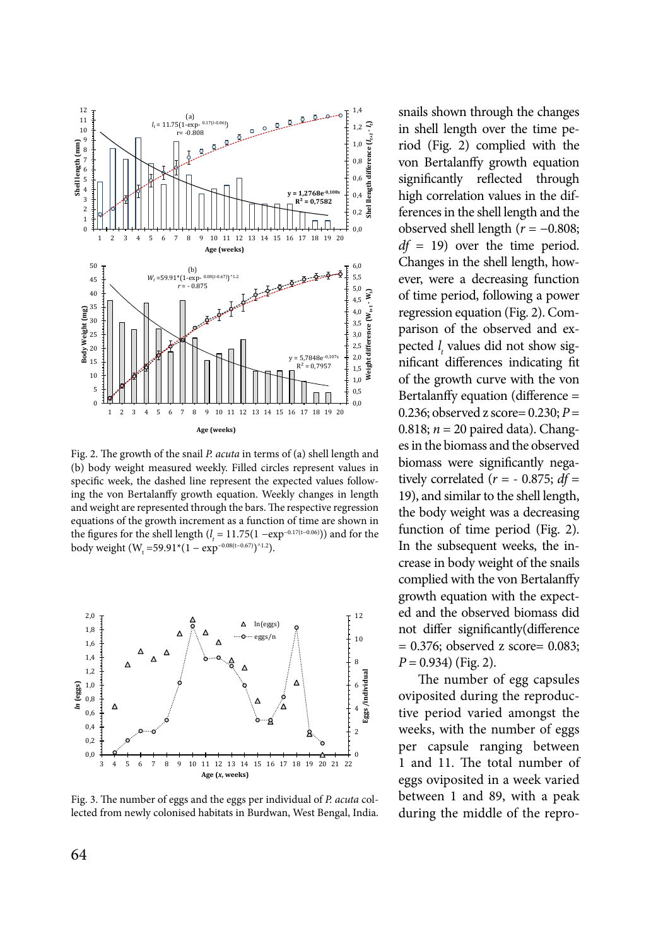

Fig. 2. The growth of the snail *P. acuta* in terms of (a) shell length and (b) body weight measured weekly. Filled circles represent values in specific week, the dashed line represent the expected values following the von Bertalanffy growth equation. Weekly changes in length and weight are represented through the bars. The respective regression equations of the growth increment as a function of time are shown in the figures for the shell length ( $l<sub>t</sub>$  = 11.75(1 −exp<sup>−0.17(t−0.06)</sup>)) and for the the *tigation* for the other religion  $(r_t^{(1)} - 1.176)(1.06)$ <br>
body weight  $(W_t = 59.91*(1 - exp^{-0.08(t - 0.67)})^{\text{A}})$ .



Fig. 3. The number of eggs and the eggs per individual of *P. acuta* collected from newly colonised habitats in Burdwan, West Bengal, India.

snails shown through the changes in shell length over the time period (Fig. 2) complied with the von Bertalanffy growth equation significantly reflected through high correlation values in the differences in the shell length and the observed shell length (*r* = −0.808; *df* = 19) over the time period. Changes in the shell length, however, were a decreasing function of time period, following a power regression equation (Fig. 2). Comparison of the observed and expected *l t* values did not show significant differences indicating fit of the growth curve with the von Bertalanffy equation (difference = 0.236; observed z score= 0.230; *P* = 0.818;  $n = 20$  paired data). Changes in the biomass and the observed biomass were significantly negatively correlated ( $r = -0.875$ ;  $df =$ 19), and similar to the shell length, the body weight was a decreasing function of time period (Fig. 2). In the subsequent weeks, the increase in body weight of the snails complied with the von Bertalanffy growth equation with the expected and the observed biomass did not differ significantly(difference = 0.376; observed z score= 0.083; *P* = 0.934) (Fig. 2).

The number of egg capsules oviposited during the reproductive period varied amongst the weeks, with the number of eggs per capsule ranging between 1 and 11. The total number of eggs oviposited in a week varied between 1 and 89, with a peak during the middle of the repro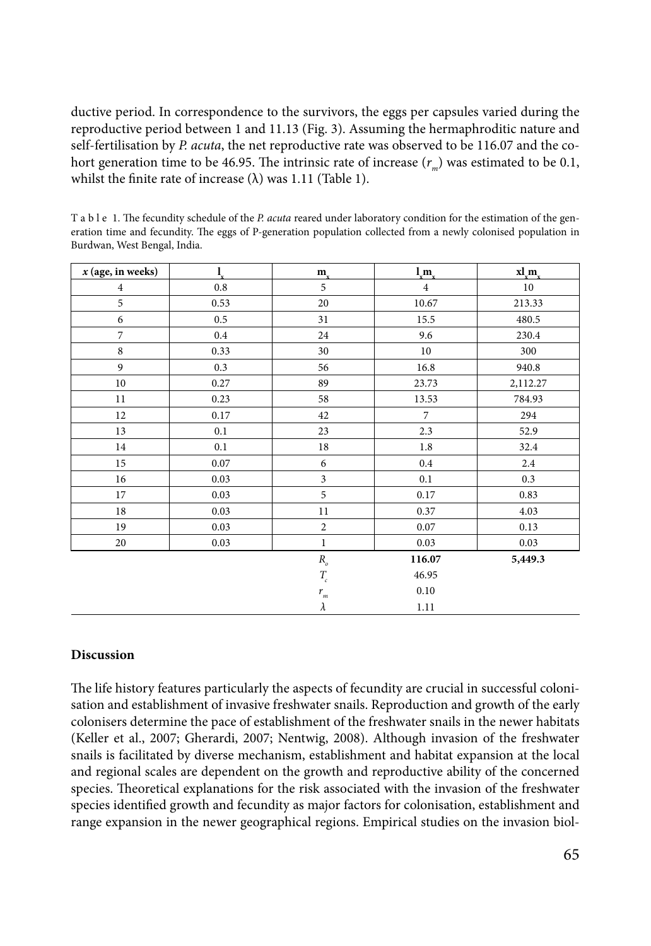ductive period. In correspondence to the survivors, the eggs per capsules varied during the reproductive period between 1 and 11.13 (Fig. 3). Assuming the hermaphroditic nature and self-fertilisation by *P. acuta*, the net reproductive rate was observed to be 116.07 and the cohort generation time to be 46.95. The intrinsic rate of increase  $(r<sub>m</sub>)$  was estimated to be 0.1, whilst the finite rate of increase  $(\lambda)$  was 1.11 (Table 1).

T a b l e 1. The fecundity schedule of the *P. acuta* reared under laboratory condition for the estimation of the generation time and fecundity. The eggs of P-generation population collected from a newly colonised population in Burdwan, West Bengal, India.

| $x$ (age, in weeks) | $\mathbf{l}_{\mathbf{x}}$ | $m_{\rm x}$             | $\lim_{x \to 0}$ | $x l_{y} m_{y}$ |
|---------------------|---------------------------|-------------------------|------------------|-----------------|
| $\overline{4}$      | 0.8                       | 5                       | $\overline{4}$   | 10              |
| 5                   | 0.53                      | 20                      | 10.67            | 213.33          |
| 6                   | 0.5                       | 31                      | 15.5             | 480.5           |
| $\overline{7}$      | $0.4\,$                   | 24                      | 9.6              | 230.4           |
| $\,$ 8 $\,$         | 0.33                      | 30                      | 10               | 300             |
| 9                   | 0.3                       | 56                      | 16.8             | 940.8           |
| $10\,$              | 0.27                      | 89                      | 23.73            | 2,112.27        |
| $11\,$              | 0.23                      | 58                      | 13.53            | 784.93          |
| 12                  | 0.17                      | 42                      | $\overline{7}$   | 294             |
| 13                  | 0.1                       | 23                      | 2.3              | 52.9            |
| 14                  | 0.1                       | $18\,$                  | 1.8              | 32.4            |
| 15                  | 0.07                      | 6                       | 0.4              | 2.4             |
| 16                  | 0.03                      | $\overline{\mathbf{3}}$ | 0.1              | 0.3             |
| 17                  | 0.03                      | 5                       | 0.17             | 0.83            |
| $18\,$              | 0.03                      | 11                      | 0.37             | 4.03            |
| 19                  | 0.03                      | $\overline{2}$          | $0.07\,$         | 0.13            |
| 20                  | 0.03                      | $\mathbf{1}$            | 0.03             | 0.03            |
|                     |                           | $R_{_o}\,$              | 116.07           | 5,449.3         |
|                     |                           | $T_{\!_{c}}$            | 46.95            |                 |
|                     |                           | $r_{m}$                 | 0.10             |                 |
|                     |                           | $\lambda$               | 1.11             |                 |

# **Discussion**

The life history features particularly the aspects of fecundity are crucial in successful colonisation and establishment of invasive freshwater snails. Reproduction and growth of the early colonisers determine the pace of establishment of the freshwater snails in the newer habitats (Keller et al., 2007; Gherardi, 2007; Nentwig, 2008). Although invasion of the freshwater snails is facilitated by diverse mechanism, establishment and habitat expansion at the local and regional scales are dependent on the growth and reproductive ability of the concerned species. Theoretical explanations for the risk associated with the invasion of the freshwater species identified growth and fecundity as major factors for colonisation, establishment and range expansion in the newer geographical regions. Empirical studies on the invasion biol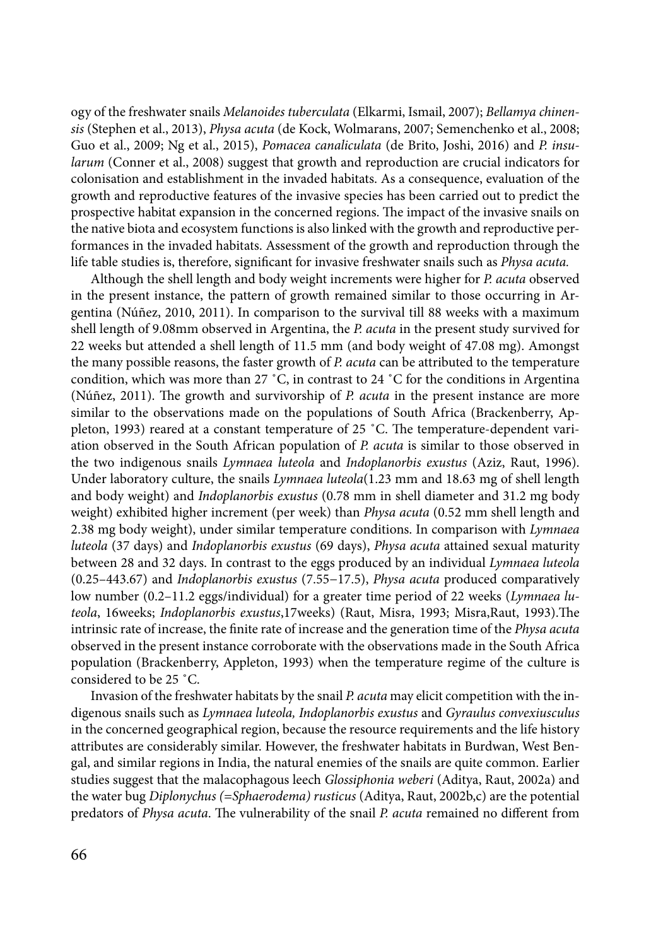ogy of the freshwater snails *Melanoides tuberculata* (Elkarmi, Ismail, 2007); *Bellamya chinensis* (Stephen et al., 2013), *Physa acuta* (de Kock, Wolmarans, 2007; Semenchenko et al., 2008; Guo et al., 2009; Ng et al., 2015), *Pomacea canaliculata* (de Brito, Joshi, 2016) and *P. insularum* (Conner et al., 2008) suggest that growth and reproduction are crucial indicators for colonisation and establishment in the invaded habitats. As a consequence, evaluation of the growth and reproductive features of the invasive species has been carried out to predict the prospective habitat expansion in the concerned regions. The impact of the invasive snails on the native biota and ecosystem functions is also linked with the growth and reproductive performances in the invaded habitats. Assessment of the growth and reproduction through the life table studies is, therefore, significant for invasive freshwater snails such as *Physa acuta.*

Although the shell length and body weight increments were higher for *P. acuta* observed in the present instance, the pattern of growth remained similar to those occurring in Argentina (Núñez, 2010, 2011). In comparison to the survival till 88 weeks with a maximum shell length of 9.08mm observed in Argentina, the *P. acuta* in the present study survived for 22 weeks but attended a shell length of 11.5 mm (and body weight of 47.08 mg). Amongst the many possible reasons, the faster growth of *P. acuta* can be attributed to the temperature condition, which was more than 27 ˚C, in contrast to 24 ˚C for the conditions in Argentina (Núñez, 2011). The growth and survivorship of *P. acuta* in the present instance are more similar to the observations made on the populations of South Africa (Brackenberry, Appleton, 1993) reared at a constant temperature of 25 ˚C. The temperature-dependent variation observed in the South African population of *P. acuta* is similar to those observed in the two indigenous snails *Lymnaea luteola* and *Indoplanorbis exustus* (Aziz, Raut, 1996). Under laboratory culture, the snails *Lymnaea luteola*(1.23 mm and 18.63 mg of shell length and body weight) and *Indoplanorbis exustus* (0.78 mm in shell diameter and 31.2 mg body weight) exhibited higher increment (per week) than *Physa acuta* (0.52 mm shell length and 2.38 mg body weight), under similar temperature conditions. In comparison with *Lymnaea luteola* (37 days) and *Indoplanorbis exustus* (69 days), *Physa acuta* attained sexual maturity between 28 and 32 days. In contrast to the eggs produced by an individual *Lymnaea luteola*  (0.25–443.67) and *Indoplanorbis exustus* (7.55−17.5), *Physa acuta* produced comparatively low number (0.2–11.2 eggs/individual) for a greater time period of 22 weeks (*Lymnaea luteola*, 16weeks; *Indoplanorbis exustus*,17weeks) (Raut, Misra, 1993; Misra,Raut, 1993).The intrinsic rate of increase, the finite rate of increase and the generation time of the *Physa acuta*  observed in the present instance corroborate with the observations made in the South Africa population (Brackenberry, Appleton, 1993) when the temperature regime of the culture is considered to be 25 ˚C.

Invasion of the freshwater habitats by the snail *P. acuta* may elicit competition with the indigenous snails such as *Lymnaea luteola, Indoplanorbis exustus* and *Gyraulus convexiusculus*  in the concerned geographical region, because the resource requirements and the life history attributes are considerably similar. However, the freshwater habitats in Burdwan, West Bengal, and similar regions in India, the natural enemies of the snails are quite common. Earlier studies suggest that the malacophagous leech *Glossiphonia weberi* (Aditya, Raut, 2002a) and the water bug *Diplonychus (=Sphaerodema) rusticus* (Aditya, Raut, 2002b,c) are the potential predators of *Physa acuta*. The vulnerability of the snail *P. acuta* remained no different from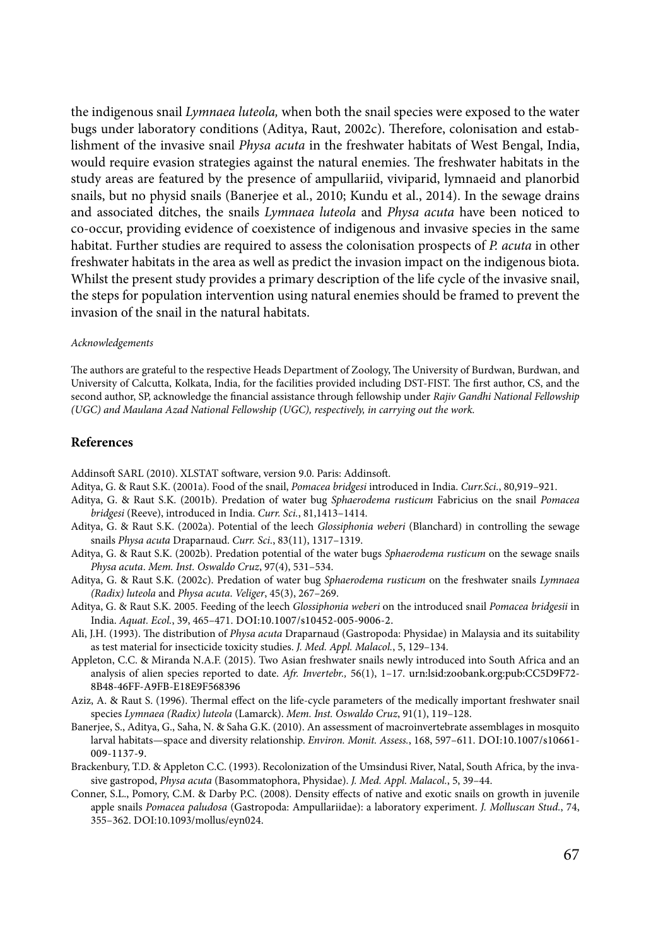the indigenous snail *Lymnaea luteola,* when both the snail species were exposed to the water bugs under laboratory conditions (Aditya, Raut, 2002c). Therefore, colonisation and establishment of the invasive snail *Physa acuta* in the freshwater habitats of West Bengal, India, would require evasion strategies against the natural enemies. The freshwater habitats in the study areas are featured by the presence of ampullariid, viviparid, lymnaeid and planorbid snails, but no physid snails (Banerjee et al., 2010; Kundu et al., 2014). In the sewage drains and associated ditches, the snails *Lymnaea luteola* and *Physa acuta* have been noticed to co-occur, providing evidence of coexistence of indigenous and invasive species in the same habitat. Further studies are required to assess the colonisation prospects of *P. acuta* in other freshwater habitats in the area as well as predict the invasion impact on the indigenous biota. Whilst the present study provides a primary description of the life cycle of the invasive snail, the steps for population intervention using natural enemies should be framed to prevent the invasion of the snail in the natural habitats.

#### *Acknowledgements*

The authors are grateful to the respective Heads Department of Zoology, The University of Burdwan, Burdwan, and University of Calcutta, Kolkata, India, for the facilities provided including DST-FIST. The first author, CS, and the second author, SP, acknowledge the financial assistance through fellowship under *Rajiv Gandhi National Fellowship (UGC) and Maulana Azad National Fellowship (UGC), respectively, in carrying out the work.*

# **References**

Addinsoft SARL (2010). XLSTAT software, version 9.0. Paris: Addinsoft.

- Aditya, G. & Raut S.K. (2001a). Food of the snail, *Pomacea bridgesi* introduced in India. *Curr.Sci.*, 80,919–921.
- Aditya, G. & Raut S.K. (2001b). Predation of water bug *Sphaerodema rusticum* Fabricius on the snail *Pomacea bridgesi* (Reeve), introduced in India. *Curr. Sci.*, 81,1413–1414.
- Aditya, G. & Raut S.K. (2002a). Potential of the leech *Glossiphonia weberi* (Blanchard) in controlling the sewage snails *Physa acuta* Draparnaud. *Curr. Sci.*, 83(11), 1317–1319.
- Aditya, G. & Raut S.K. (2002b). Predation potential of the water bugs *Sphaerodema rusticum* on the sewage snails *Physa acuta*. *Mem. Inst. Oswaldo Cruz*, 97(4), 531–534.
- Aditya, G. & Raut S.K. (2002c). Predation of water bug *Sphaerodema rusticum* on the freshwater snails *Lymnaea (Radix) luteola* and *Physa acuta*. *Veliger*, 45(3), 267–269.
- Aditya, G. & Raut S.K. 2005. Feeding of the leech *Glossiphonia weberi* on the introduced snail *Pomacea bridgesii* in India. *Aquat. Ecol.*, 39, 465-471. DOI:10.1007/s10452-005-9006-2.
- Ali, J.H. (1993). The distribution of *Physa acuta* Draparnaud (Gastropoda: Physidae) in Malaysia and its suitability as test material for insecticide toxicity studies. *J. Med. Appl. Malacol.*, 5, 129–134.
- Appleton, C.C. & Miranda N.A.F. (2015). Two Asian freshwater snails newly introduced into South Africa and an analysis of alien species reported to date. *Afr. Invertebr.,* 56(1), 1–17. urn:lsid:zoobank.org:pub:CC5D9F72- 8B48-46FF-A9FB-E18E9F568396
- Aziz, A. & Raut S. (1996). Thermal effect on the life-cycle parameters of the medically important freshwater snail species *Lymnaea (Radix) luteola* (Lamarck). *Mem. Inst. Oswaldo Cruz*, 91(1), 119–128.
- Banerjee, S., Aditya, G., Saha, N. & Saha G.K. (2010). An assessment of macroinvertebrate assemblages in mosquito larval habitats—space and diversity relationship. *Environ. Monit. Assess.*, 168, 597-611. DOI:10.1007/s10661-[009-1137-9.](http://dx.doi.org/10.1007/s10661-009-1137-9)
- Brackenbury, T.D. & Appleton C.C. (1993). Recolonization of the Umsindusi River, Natal, South Africa, by the invasive gastropod, *Physa acuta* (Basommatophora, Physidae). *J. Med. Appl. Malacol.*, 5, 39–44.
- Conner, S.L., Pomory, C.M. & Darby P.C. (2008). Density effects of native and exotic snails on growth in juvenile apple snails *Pomacea paludosa* (Gastropoda: Ampullariidae): a laboratory experiment. *J. Molluscan Stud.*, 74, 355-362. DOI:10.1093/mollus/eyn024.